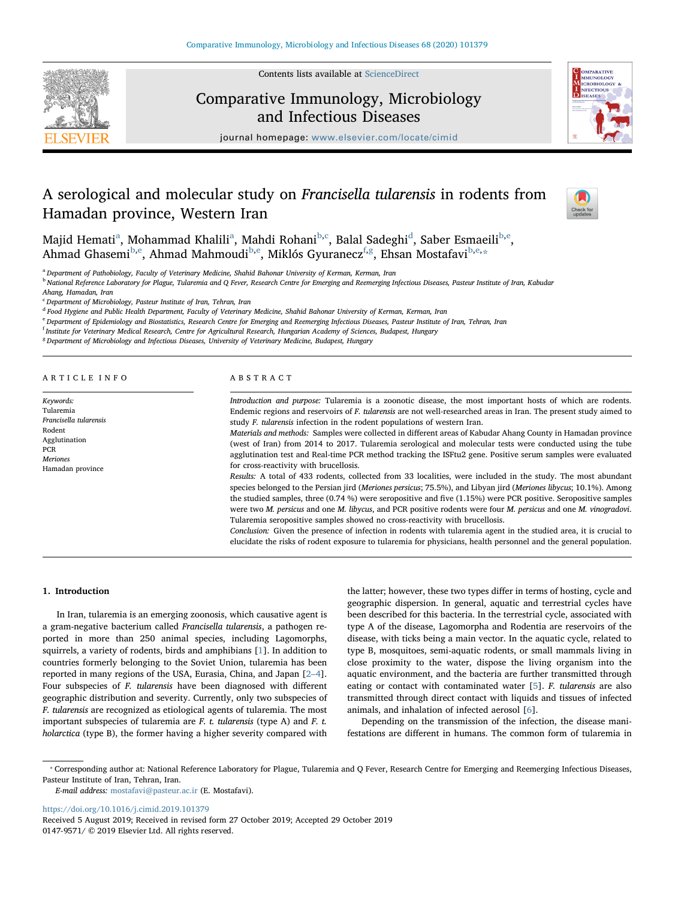

Contents lists available at [ScienceDirect](http://www.sciencedirect.com/science/journal/01479571)

# Comparative Immunology, Microbiology and Infectious Diseases



journal homepage: [www.elsevier.com/locate/cimid](https://www.elsevier.com/locate/cimid)

# A serological and molecular study on Francisella tularensis in rodents from Hamadan province, Western Iran



M[a](#page-0-0)jid Hemati<sup>a</sup>, Mohammad Khalili<sup>a</sup>, Mahdi Rohani<sup>[b](#page-0-1)[,c](#page-0-2)</sup>, Balal Sa[d](#page-0-3)eghi<sup>d</sup>, Saber Esmaeili<sup>[b,](#page-0-1)[e](#page-0-4)</sup>, Ahmad Ghasemi<sup>[b](#page-0-1),[e](#page-0-4)</sup>, Ahmad Mahmoudi<sup>[b,](#page-0-1)e</sup>, Miklós Gyuranecz<sup>[f](#page-0-5)[,g](#page-0-6)</sup>, Ehsan Mostafavi<sup>b,[e,](#page-0-4)[\\*](#page-0-7)</sup>

<span id="page-0-0"></span><sup>a</sup> Department of Pathobiology, Faculty of Veterinary Medicine, Shahid Bahonar University of Kerman, Kerman, Iran

<span id="page-0-1"></span>**b** National Reference Laboratory for Plague, Tularemia and Q Fever, Research Centre for Emerging and Reemerging Infectious Diseases, Pasteur Institute of Iran, Kabudar Ahang, Hamadan, Iran

<span id="page-0-2"></span><sup>c</sup> Department of Microbiology, Pasteur Institute of Iran, Tehran, Iran

<span id="page-0-3"></span><sup>d</sup> Food Hygiene and Public Health Department, Faculty of Veterinary Medicine, Shahid Bahonar University of Kerman, Kerman, Iran

<span id="page-0-4"></span>e Department of Epidemiology and Biostatistics, Research Centre for Emerging and Reemerging Infectious Diseases, Pasteur Institute of Iran, Tehran, Iran

<span id="page-0-5"></span><sup>f</sup> Institute for Veterinary Medical Research, Centre for Agricultural Research, Hungarian Academy of Sciences, Budapest, Hungary

<span id="page-0-6"></span><sup>8</sup> Department of Microbiology and Infectious Diseases, University of Veterinary Medicine, Budapest, Hungary

|  |  |  |  |  | ARTICLE INFO |  |
|--|--|--|--|--|--------------|--|
|  |  |  |  |  |              |  |

Keywords: Tularemia Francisella tularensis Rodent Agglutination PCR Meriones Hamadan province

## ABSTRACT

Introduction and purpose: Tularemia is a zoonotic disease, the most important hosts of which are rodents. Endemic regions and reservoirs of F. tularensis are not well-researched areas in Iran. The present study aimed to study F. tularensis infection in the rodent populations of western Iran.

Materials and methods: Samples were collected in different areas of Kabudar Ahang County in Hamadan province (west of Iran) from 2014 to 2017. Tularemia serological and molecular tests were conducted using the tube agglutination test and Real-time PCR method tracking the ISFtu2 gene. Positive serum samples were evaluated for cross-reactivity with brucellosis.

Results: A total of 433 rodents, collected from 33 localities, were included in the study. The most abundant species belonged to the Persian jird (Meriones persicus; 75.5%), and Libyan jird (Meriones libycus; 10.1%). Among the studied samples, three (0.74 %) were seropositive and five (1.15%) were PCR positive. Seropositive samples were two M. persicus and one M. libycus, and PCR positive rodents were four M. persicus and one M. vinogradovi. Tularemia seropositive samples showed no cross-reactivity with brucellosis.

Conclusion: Given the presence of infection in rodents with tularemia agent in the studied area, it is crucial to elucidate the risks of rodent exposure to tularemia for physicians, health personnel and the general population.

## 1. Introduction

In Iran, tularemia is an emerging zoonosis, which causative agent is a gram-negative bacterium called Francisella tularensis, a pathogen reported in more than 250 animal species, including Lagomorphs, squirrels, a variety of rodents, birds and amphibians [[1](#page-4-0)]. In addition to countries formerly belonging to the Soviet Union, tularemia has been reported in many regions of the USA, Eurasia, China, and Japan [\[2](#page-4-1)–4]. Four subspecies of F. tularensis have been diagnosed with different geographic distribution and severity. Currently, only two subspecies of F. tularensis are recognized as etiological agents of tularemia. The most important subspecies of tularemia are F. t. tularensis (type A) and F. t. holarctica (type B), the former having a higher severity compared with

the latter; however, these two types differ in terms of hosting, cycle and geographic dispersion. In general, aquatic and terrestrial cycles have been described for this bacteria. In the terrestrial cycle, associated with type A of the disease, Lagomorpha and Rodentia are reservoirs of the disease, with ticks being a main vector. In the aquatic cycle, related to type B, mosquitoes, semi-aquatic rodents, or small mammals living in close proximity to the water, dispose the living organism into the aquatic environment, and the bacteria are further transmitted through eating or contact with contaminated water [\[5\]](#page-4-2). F. tularensis are also transmitted through direct contact with liquids and tissues of infected animals, and inhalation of infected aerosol [\[6\]](#page-4-3).

Depending on the transmission of the infection, the disease manifestations are different in humans. The common form of tularemia in

E-mail address: [mostafavi@pasteur.ac.ir](mailto:mostafavi@pasteur.ac.ir) (E. Mostafavi).

<https://doi.org/10.1016/j.cimid.2019.101379>

Received 5 August 2019; Received in revised form 27 October 2019; Accepted 29 October 2019 0147-9571/ © 2019 Elsevier Ltd. All rights reserved.

<span id="page-0-7"></span><sup>⁎</sup> Corresponding author at: National Reference Laboratory for Plague, Tularemia and Q Fever, Research Centre for Emerging and Reemerging Infectious Diseases, Pasteur Institute of Iran, Tehran, Iran.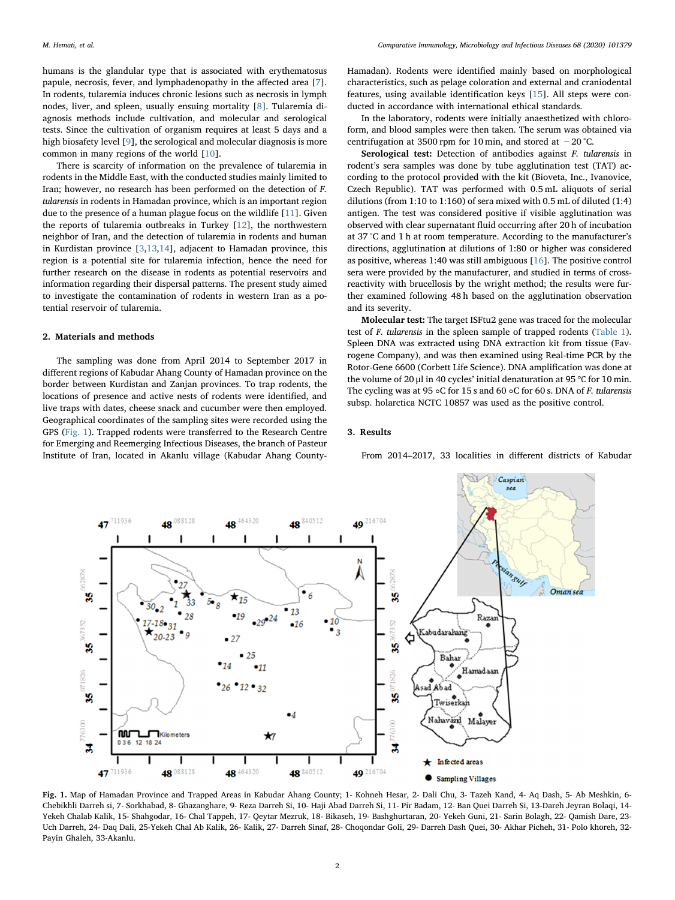humans is the glandular type that is associated with erythematosus papule, necrosis, fever, and lymphadenopathy in the affected area [[7](#page-4-4)]. In rodents, tularemia induces chronic lesions such as necrosis in lymph nodes, liver, and spleen, usually ensuing mortality [[8](#page-4-5)]. Tularemia diagnosis methods include cultivation, and molecular and serological tests. Since the cultivation of organism requires at least 5 days and a high biosafety level [\[9\]](#page-4-6), the serological and molecular diagnosis is more common in many regions of the world [[10\]](#page-4-7).

There is scarcity of information on the prevalence of tularemia in rodents in the Middle East, with the conducted studies mainly limited to Iran; however, no research has been performed on the detection of F. tularensis in rodents in Hamadan province, which is an important region due to the presence of a human plague focus on the wildlife [\[11](#page-4-8)]. Given the reports of tularemia outbreaks in Turkey [[12\]](#page-4-9), the northwestern neighbor of Iran, and the detection of tularemia in rodents and human in Kurdistan province [[3](#page-4-10),[13,](#page-4-11)[14\]](#page-4-12), adjacent to Hamadan province, this region is a potential site for tularemia infection, hence the need for further research on the disease in rodents as potential reservoirs and information regarding their dispersal patterns. The present study aimed to investigate the contamination of rodents in western Iran as a potential reservoir of tularemia.

## 2. Materials and methods

The sampling was done from April 2014 to September 2017 in different regions of Kabudar Ahang County of Hamadan province on the border between Kurdistan and Zanjan provinces. To trap rodents, the locations of presence and active nests of rodents were identified, and live traps with dates, cheese snack and cucumber were then employed. Geographical coordinates of the sampling sites were recorded using the GPS ([Fig. 1\)](#page-1-0). Trapped rodents were transferred to the Research Centre for Emerging and Reemerging Infectious Diseases, the branch of Pasteur Institute of Iran, located in Akanlu village (Kabudar Ahang CountyHamadan). Rodents were identified mainly based on morphological characteristics, such as pelage coloration and external and craniodental features, using available identification keys [\[15](#page-4-13)]. All steps were conducted in accordance with international ethical standards.

In the laboratory, rodents were initially anaesthetized with chloroform, and blood samples were then taken. The serum was obtained via centrifugation at 3500 rpm for 10 min, and stored at −20 °C.

Serological test: Detection of antibodies against F. tularensis in rodent's sera samples was done by tube agglutination test (TAT) according to the protocol provided with the kit (Bioveta, Inc., Ivanovice, Czech Republic). TAT was performed with 0.5 mL aliquots of serial dilutions (from 1:10 to 1:160) of sera mixed with 0.5 mL of diluted (1:4) antigen. The test was considered positive if visible agglutination was observed with clear supernatant fluid occurring after 20 h of incubation at 37 °C and 1 h at room temperature. According to the manufacturer's directions, agglutination at dilutions of 1:80 or higher was considered as positive, whereas 1:40 was still ambiguous [[16\]](#page-4-14). The positive control sera were provided by the manufacturer, and studied in terms of crossreactivity with brucellosis by the wright method; the results were further examined following 48 h based on the agglutination observation and its severity.

Molecular test: The target ISFtu2 gene was traced for the molecular test of F. tularensis in the spleen sample of trapped rodents [\(Table 1](#page-2-0)). Spleen DNA was extracted using DNA extraction kit from tissue (Favrogene Company), and was then examined using Real-time PCR by the Rotor-Gene 6600 (Corbett Life Science). DNA amplification was done at the volume of 20 μl in 40 cycles' initial denaturation at 95 ℃ for 10 min. The cycling was at 95 ◦C for 15 s and 60 ◦C for 60 s. DNA of F. tularensis subsp. holarctica NCTC 10857 was used as the positive control.

### 3. Results

From 2014–2017, 33 localities in different districts of Kabudar

<span id="page-1-0"></span>

Fig. 1. Map of Hamadan Province and Trapped Areas in Kabudar Ahang County; 1- Kohneh Hesar, 2- Dali Chu, 3- Tazeh Kand, 4- Aq Dash, 5- Ab Meshkin, 6- Chebikhli Darreh si, 7- Sorkhabad, 8- Ghazanghare, 9- Reza Darreh Si, 10- Haji Abad Darreh Si, 11- Pir Badam, 12- Ban Quei Darreh Si, 13-Dareh Jeyran Bolaqi, 14- Yekeh Chalab Kalik, 15- Shahgodar, 16- Chal Tappeh, 17- Qeytar Mezruk, 18- Bikaseh, 19- Bashghurtaran, 20- Yekeh Guni, 21- Sarin Bolagh, 22- Qamish Dare, 23- Uch Darreh, 24- Daq Dali, 25-Yekeh Chal Ab Kalik, 26- Kalik, 27- Darreh Sinaf, 28- Choqondar Goli, 29- Darreh Dash Quei, 30- Akhar Picheh, 31- Polo khoreh, 32- Payin Ghaleh, 33-Akanlu.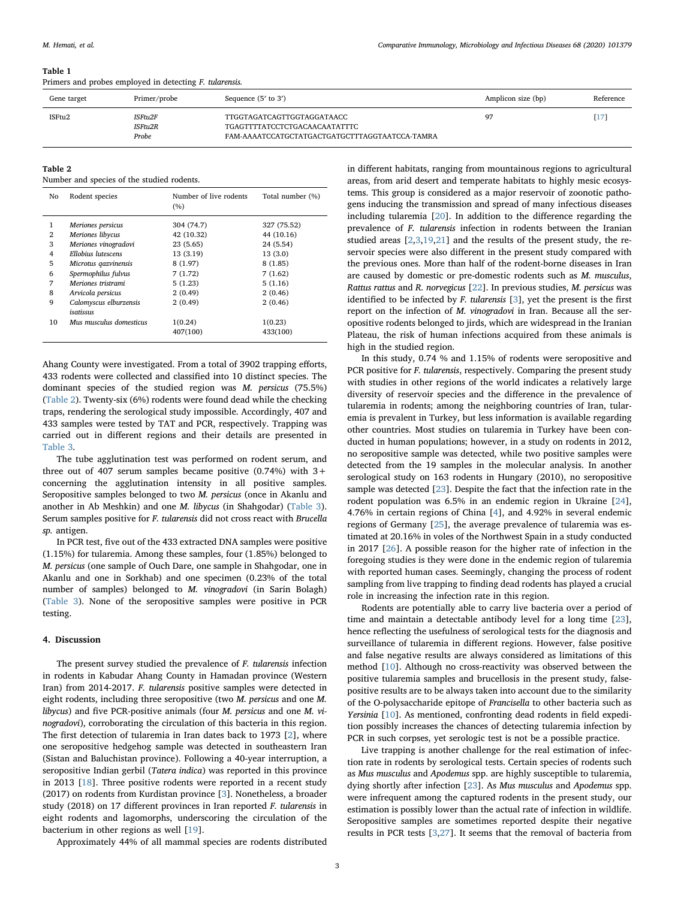#### M. Hemati, et al. *Comparative Immunology, Microbiology and Infectious Diseases 68 (2020) 101379*

#### <span id="page-2-0"></span>Table 1

Primers and probes employed in detecting F. tularensis.

| Gene target | Primer/probe                | Sequence $(5'$ to $3')$                                                                                       | Amplicon size (bp) | Reference |
|-------------|-----------------------------|---------------------------------------------------------------------------------------------------------------|--------------------|-----------|
| ISFtu2      | ISFtu2F<br>ISFtu2R<br>Probe | TTGGTAGATCAGTTGGTAGGATAACC<br>TGAGTTTTATCCTCTGACAACAATATTTC<br>FAM-AAAATCCATGCTATGACTGATGCTTTAGGTAATCCA-TAMRA | 97                 | [17]      |

<span id="page-2-1"></span>Table 2

Number and species of the studied rodents.

| No | Rodent species                      | Number of live rodents<br>(%) | Total number (%) |
|----|-------------------------------------|-------------------------------|------------------|
| 1  | Meriones persicus                   | 304 (74.7)                    | 327 (75.52)      |
| 2  | Meriones libycus                    | 42 (10.32)                    | 44 (10.16)       |
| 3  | Meriones vinogradovi                | 23(5.65)                      | 24 (5.54)        |
| 4  | <b>Ellobius</b> lutescens           | 13 (3.19)                     | 13(3.0)          |
| 5  | Microtus gazvinensis                | 8(1.97)                       | 8(1.85)          |
| 6  | Spermophilus fulvus                 | 7(1.72)                       | 7(1.62)          |
| 7  | Meriones tristrami                  | 5(1.23)                       | 5(1.16)          |
| 8  | Arvicola persicus                   | 2(0.49)                       | 2(0.46)          |
| 9  | Calomyscus elburzensis<br>isatissus | 2(0.49)                       | 2(0.46)          |
| 10 | Mus musculus domesticus             | 1(0.24)                       | 1(0.23)          |
|    |                                     | 407(100)                      | 433(100)         |

Ahang County were investigated. From a total of 3902 trapping efforts, 433 rodents were collected and classified into 10 distinct species. The dominant species of the studied region was M. persicus (75.5%) ([Table 2\)](#page-2-1). Twenty-six (6%) rodents were found dead while the checking traps, rendering the serological study impossible. Accordingly, 407 and 433 samples were tested by TAT and PCR, respectively. Trapping was carried out in different regions and their details are presented in [Table 3](#page-3-0).

The tube agglutination test was performed on rodent serum, and three out of 407 serum samples became positive  $(0.74%)$  with  $3+$ concerning the agglutination intensity in all positive samples. Seropositive samples belonged to two M. persicus (once in Akanlu and another in Ab Meshkin) and one M. libycus (in Shahgodar) [\(Table 3](#page-3-0)). Serum samples positive for F. tularensis did not cross react with Brucella sp. antigen.

In PCR test, five out of the 433 extracted DNA samples were positive (1.15%) for tularemia. Among these samples, four (1.85%) belonged to M. persicus (one sample of Ouch Dare, one sample in Shahgodar, one in Akanlu and one in Sorkhab) and one specimen (0.23% of the total number of samples) belonged to M. vinogradovi (in Sarin Bolagh) ([Table 3](#page-3-0)). None of the seropositive samples were positive in PCR testing.

#### 4. Discussion

The present survey studied the prevalence of F. tularensis infection in rodents in Kabudar Ahang County in Hamadan province (Western Iran) from 2014-2017. F. tularensis positive samples were detected in eight rodents, including three seropositive (two M. persicus and one M. libycus) and five PCR-positive animals (four M. persicus and one M. vinogradovi), corroborating the circulation of this bacteria in this region. The first detection of tularemia in Iran dates back to 1973 [[2](#page-4-1)], where one seropositive hedgehog sample was detected in southeastern Iran (Sistan and Baluchistan province). Following a 40-year interruption, a seropositive Indian gerbil (Tatera indica) was reported in this province in 2013 [\[18](#page-4-15)]. Three positive rodents were reported in a recent study (2017) on rodents from Kurdistan province [[3](#page-4-10)]. Nonetheless, a broader study (2018) on 17 different provinces in Iran reported F. tularensis in eight rodents and lagomorphs, underscoring the circulation of the bacterium in other regions as well [[19\]](#page-4-16).

Approximately 44% of all mammal species are rodents distributed

in different habitats, ranging from mountainous regions to agricultural areas, from arid desert and temperate habitats to highly mesic ecosystems. This group is considered as a major reservoir of zoonotic pathogens inducing the transmission and spread of many infectious diseases including tularemia [[20\]](#page-4-17). In addition to the difference regarding the prevalence of F. tularensis infection in rodents between the Iranian studied areas [\[2,](#page-4-1)[3](#page-4-10)[,19,](#page-4-16)[21\]](#page-4-18) and the results of the present study, the reservoir species were also different in the present study compared with the previous ones. More than half of the rodent-borne diseases in Iran are caused by domestic or pre-domestic rodents such as M. musculus, Rattus rattus and R. norvegicus [[22\]](#page-4-19). In previous studies, M. persicus was identified to be infected by F. tularensis [[3](#page-4-10)], yet the present is the first report on the infection of M. vinogradovi in Iran. Because all the seropositive rodents belonged to jirds, which are widespread in the Iranian Plateau, the risk of human infections acquired from these animals is high in the studied region.

In this study, 0.74 % and 1.15% of rodents were seropositive and PCR positive for F. tularensis, respectively. Comparing the present study with studies in other regions of the world indicates a relatively large diversity of reservoir species and the difference in the prevalence of tularemia in rodents; among the neighboring countries of Iran, tularemia is prevalent in Turkey, but less information is available regarding other countries. Most studies on tularemia in Turkey have been conducted in human populations; however, in a study on rodents in 2012, no seropositive sample was detected, while two positive samples were detected from the 19 samples in the molecular analysis. In another serological study on 163 rodents in Hungary (2010), no seropositive sample was detected [[23\]](#page-4-20). Despite the fact that the infection rate in the rodent population was 6.5% in an endemic region in Ukraine [\[24](#page-4-21)], 4.76% in certain regions of China [\[4\]](#page-4-22), and 4.92% in several endemic regions of Germany [[25\]](#page-4-23), the average prevalence of tularemia was estimated at 20.16% in voles of the Northwest Spain in a study conducted in 2017 [[26\]](#page-4-24). A possible reason for the higher rate of infection in the foregoing studies is they were done in the endemic region of tularemia with reported human cases. Seemingly, changing the process of rodent sampling from live trapping to finding dead rodents has played a crucial role in increasing the infection rate in this region.

Rodents are potentially able to carry live bacteria over a period of time and maintain a detectable antibody level for a long time [\[23](#page-4-20)], hence reflecting the usefulness of serological tests for the diagnosis and surveillance of tularemia in different regions. However, false positive and false negative results are always considered as limitations of this method [[10\]](#page-4-7). Although no cross-reactivity was observed between the positive tularemia samples and brucellosis in the present study, falsepositive results are to be always taken into account due to the similarity of the O-polysaccharide epitope of Francisella to other bacteria such as Yersinia [[10\]](#page-4-7). As mentioned, confronting dead rodents in field expedition possibly increases the chances of detecting tularemia infection by PCR in such corpses, yet serologic test is not be a possible practice.

Live trapping is another challenge for the real estimation of infection rate in rodents by serological tests. Certain species of rodents such as Mus musculus and Apodemus spp. are highly susceptible to tularemia, dying shortly after infection [\[23\]](#page-4-20). As Mus musculus and Apodemus spp. were infrequent among the captured rodents in the present study, our estimation is possibly lower than the actual rate of infection in wildlife. Seropositive samples are sometimes reported despite their negative results in PCR tests [[3](#page-4-10)[,27](#page-4-25)]. It seems that the removal of bacteria from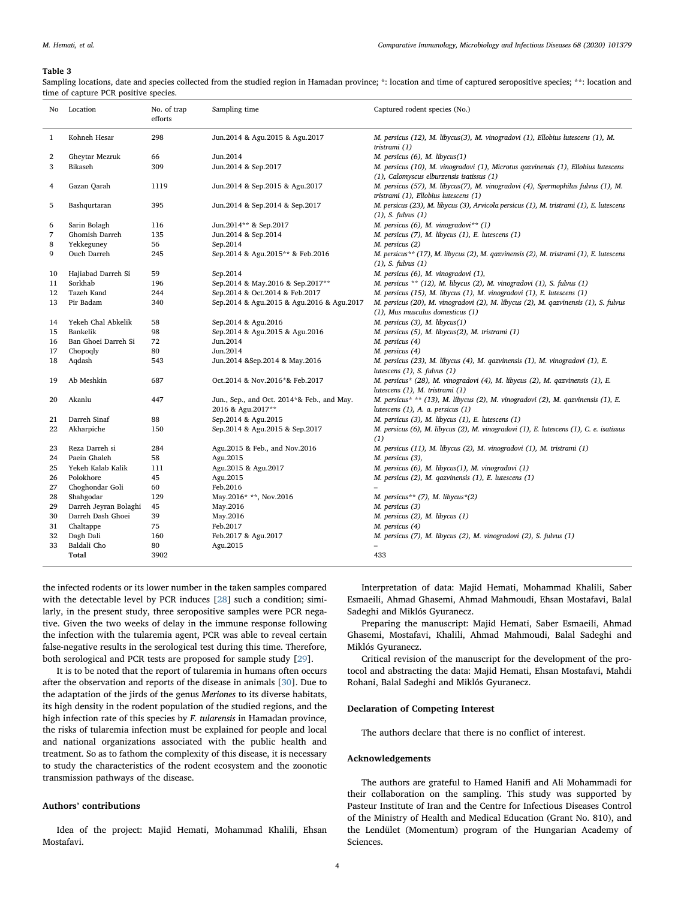#### <span id="page-3-0"></span>Table 3

Sampling locations, date and species collected from the studied region in Hamadan province; \*: location and time of captured seropositive species; \*\*: location and time of capture PCR positive species.

| No           | Location              | No. of trap<br>efforts | Sampling time                                                   | Captured rodent species (No.)                                                                                                   |
|--------------|-----------------------|------------------------|-----------------------------------------------------------------|---------------------------------------------------------------------------------------------------------------------------------|
| $\mathbf{1}$ | Kohneh Hesar          | 298                    | Jun.2014 & Agu.2015 & Agu.2017                                  | M. persicus (12), M. libycus(3), M. vinogradovi (1), Ellobius lutescens (1), M.<br>tristrami (1)                                |
| 2            | Gheytar Mezruk        | 66                     | Jun.2014                                                        | M. persicus (6), M. libycus(1)                                                                                                  |
| 3            | Bikaseh               | 309                    | Jun.2014 & Sep.2017                                             | M. persicus (10), M. vinogradovi (1), Microtus qazvinensis (1), Ellobius lutescens<br>(1), Calomyscus elburzensis isatissus (1) |
| 4            | Gazan Qarah           | 1119                   | Jun.2014 & Sep.2015 & Agu.2017                                  | M. persicus (57), M. libycus(7), M. vinogradovi (4), Spermophilus fulvus (1), M.<br>tristrami (1), Ellobius lutescens (1)       |
| 5            | Bashqurtaran          | 395                    | Jun.2014 & Sep.2014 & Sep.2017                                  | M. persicus (23), M. libycus (3), Arvicola persicus (1), M. tristrami (1), E. lutescens<br>$(1)$ , S. fulvus $(1)$              |
| 6            | Sarin Bolagh          | 116                    | Jun.2014** & Sep.2017                                           | M. persicus (6), M. vinogradovi** (1)                                                                                           |
| 7            | Ghomish Darreh        | 135                    | Jun.2014 & Sep.2014                                             | M. persicus (7), M. libycus (1), E. lutescens (1)                                                                               |
| 8            | Yekkeguney            | 56                     | Sep.2014                                                        | M. persicus (2)                                                                                                                 |
| 9            | Ouch Darreh           | 245                    | Sep.2014 & Agu.2015** & Feb.2016                                | M. persicus** (17), M. libycus (2), M. qazvinensis (2), M. tristrami (1), E. lutescens<br>$(1)$ , S. fulvus $(1)$               |
| 10           | Hajiabad Darreh Si    | 59                     | Sep.2014                                                        | M. persicus (6), M. vinogradovi (1),                                                                                            |
| 11           | Sorkhab               | 196                    | Sep.2014 & May.2016 & Sep.2017**                                | M. persicus ** (12), M. libycus (2), M. vinogradovi (1), S. fulvus (1)                                                          |
| 12           | Tazeh Kand            | 244                    | Sep.2014 & Oct.2014 & Feb.2017                                  | M. persicus (15), M. libycus (1), M. vinogradovi (1), E. lutescens (1)                                                          |
| 13           | Pir Badam             | 340                    | Sep.2014 & Agu.2015 & Agu.2016 & Agu.2017                       | M. persicus (20), M. vinogradovi (2), M. libycus (2), M. qazvinensis (1), S. fulvus<br>(1), Mus musculus domesticus (1)         |
| 14           | Yekeh Chal Abkelik    | 58                     | Sep.2014 & Agu.2016                                             | M. persicus (3), M. libycus(1)                                                                                                  |
| 15           | Bankelik              | 98                     | Sep.2014 & Agu.2015 & Agu.2016                                  | M. persicus (5), M. libycus(2), M. tristrami (1)                                                                                |
| 16           | Ban Ghoei Darreh Si   | 72                     | Jun.2014                                                        | M. persicus (4)                                                                                                                 |
| 17           | Chopoqly              | 80                     | Jun.2014                                                        | M. persicus (4)                                                                                                                 |
| 18           | Aqdash                | 543                    | Jun.2014 & Sep.2014 & May.2016                                  | M. persicus (23), M. libycus (4), M. qazvinensis (1), M. vinogradovi (1), E.<br>lutescens $(1)$ , S. fulvus $(1)$               |
| 19           | Ab Meshkin            | 687                    | Oct.2014 & Nov.2016*& Feb.2017                                  | M. persicus* (28), M. vinogradovi (4), M. libycus (2), M. qazvinensis (1), E.<br>lutescens (1), M. tristrami (1)                |
| 20           | Akanlu                | 447                    | Jun., Sep., and Oct. 2014*& Feb., and May.<br>2016 & Agu.2017** | M. persicus* ** (13), M. libycus (2), M. vinogradovi (2), M. qazvinensis (1), E.<br>lutescens (1), A. a. persicus (1)           |
| 21           | Darreh Sinaf          | 88                     | Sep.2014 & Agu.2015                                             | M. persicus (3), M. libycus (1), E. lutescens (1)                                                                               |
| 22           | Akharpiche            | 150                    | Sep.2014 & Agu.2015 & Sep.2017                                  | M. persicus (6), M. libycus (2), M. vinogradovi (1), E. lutescens (1), C. e. isatissus<br>(1)                                   |
| 23           | Reza Darreh si        | 284                    | Agu.2015 & Feb., and Nov.2016                                   | M. persicus (11), M. libycus (2), M. vinogradovi (1), M. tristrami (1)                                                          |
| 24           | Paein Ghaleh          | 58                     | Agu.2015                                                        | M. persicus (3),                                                                                                                |
| 25           | Yekeh Kalab Kalik     | 111                    | Agu.2015 & Agu.2017                                             | M. persicus (6), M. libycus(1), M. vinogradovi (1)                                                                              |
| 26           | Polokhore             | 45                     | Agu.2015                                                        | M. persicus (2), M. qazvinensis (1), E. lutescens (1)                                                                           |
| 27           | Choghondar Goli       | 60                     | Feb.2016                                                        |                                                                                                                                 |
| 28           | Shahgodar             | 129                    | May.2016* **, Nov.2016                                          | M. persicus** (7), M. libycus*(2)                                                                                               |
| 29           | Darreh Jeyran Bolaghi | 45                     | May.2016                                                        | M. persicus (3)                                                                                                                 |
| 30           | Darreh Dash Ghoei     | 39                     | May.2016                                                        | M. persicus (2), M. libycus (1)                                                                                                 |
| 31           | Chaltappe             | 75                     | Feb.2017                                                        | M. persicus (4)                                                                                                                 |
| 32           | Dagh Dali             | 160                    | Feb.2017 & Agu.2017                                             | M. persicus (7), M. libycus (2), M. vinogradovi (2), S. fulvus (1)                                                              |
| 33           | Baldali Cho<br>Total  | 80                     | Agu.2015                                                        | 433                                                                                                                             |
|              |                       | 3902                   |                                                                 |                                                                                                                                 |

the infected rodents or its lower number in the taken samples compared with the detectable level by PCR induces [[28\]](#page-4-27) such a condition; similarly, in the present study, three seropositive samples were PCR negative. Given the two weeks of delay in the immune response following the infection with the tularemia agent, PCR was able to reveal certain false-negative results in the serological test during this time. Therefore, both serological and PCR tests are proposed for sample study [\[29](#page-4-28)].

It is to be noted that the report of tularemia in humans often occurs after the observation and reports of the disease in animals [\[30](#page-4-29)]. Due to the adaptation of the jirds of the genus Meriones to its diverse habitats, its high density in the rodent population of the studied regions, and the high infection rate of this species by F. tularensis in Hamadan province, the risks of tularemia infection must be explained for people and local and national organizations associated with the public health and treatment. So as to fathom the complexity of this disease, it is necessary to study the characteristics of the rodent ecosystem and the zoonotic transmission pathways of the disease.

# Authors' contributions

Idea of the project: Majid Hemati, Mohammad Khalili, Ehsan Mostafavi.

Interpretation of data: Majid Hemati, Mohammad Khalili, Saber Esmaeili, Ahmad Ghasemi, Ahmad Mahmoudi, Ehsan Mostafavi, Balal Sadeghi and Miklós Gyuranecz.

Preparing the manuscript: Majid Hemati, Saber Esmaeili, Ahmad Ghasemi, Mostafavi, Khalili, Ahmad Mahmoudi, Balal Sadeghi and Miklós Gyuranecz.

Critical revision of the manuscript for the development of the protocol and abstracting the data: Majid Hemati, Ehsan Mostafavi, Mahdi Rohani, Balal Sadeghi and Miklós Gyuranecz.

## Declaration of Competing Interest

The authors declare that there is no conflict of interest.

## Acknowledgements

The authors are grateful to Hamed Hanifi and Ali Mohammadi for their collaboration on the sampling. This study was supported by Pasteur Institute of Iran and the Centre for Infectious Diseases Control of the Ministry of Health and Medical Education (Grant No. 810), and the Lendület (Momentum) program of the Hungarian Academy of Sciences.